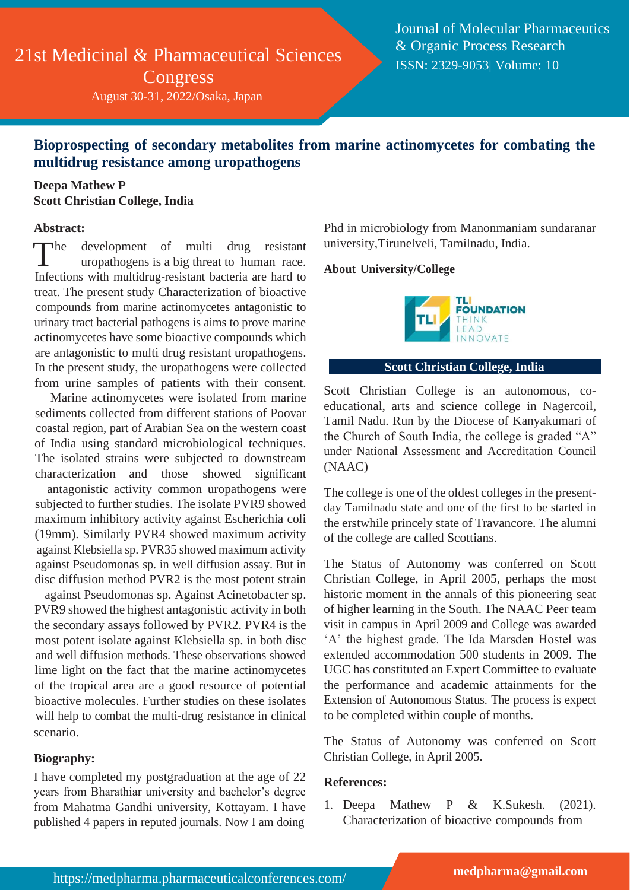# 21st Medicinal & Pharmaceutical Sciences Congress

August 30-31, 2022/Osaka, Japan

Journal of Molecular Pharmaceutics & Organic Process Research ISSN: 2329-9053| Volume: 10

## **Bioprospecting of secondary metabolites from marine actinomycetes for combating the multidrug resistance among uropathogens**

### **Deepa Mathew P Scott Christian College, India**

#### **Abstract:**

 $\blacksquare$ development of multi drug resistant uropathogens is a big threat to human race. Infections with multidrug-resistant bacteria are hard to treat. The present study Characterization of bioactive compounds from marine actinomycetes antagonistic to urinary tract bacterial pathogens is aims to prove marine actinomycetes have some bioactive compounds which are antagonistic to multi drug resistant uropathogens. In the present study, the uropathogens were collected from urine samples of patients with their consent.

Marine actinomycetes were isolated from marine sediments collected from different stations of Poovar coastal region, part of Arabian Sea on the western coast of India using standard microbiological techniques. The isolated strains were subjected to downstream characterization and those showed significant

antagonistic activity common uropathogens were subjected to further studies. The isolate PVR9 showed maximum inhibitory activity against Escherichia coli (19mm). Similarly PVR4 showed maximum activity against Klebsiella sp. PVR35 showed maximum activity against Pseudomonas sp. in well diffusion assay. But in disc diffusion method PVR2 is the most potent strain

against Pseudomonas sp. Against Acinetobacter sp. PVR9 showed the highest antagonistic activity in both the secondary assays followed by PVR2. PVR4 is the most potent isolate against Klebsiella sp. in both disc and well diffusion methods. These observations showed lime light on the fact that the marine actinomycetes of the tropical area are a good resource of potential bioactive molecules. Further studies on these isolates will help to combat the multi-drug resistance in clinical scenario.

#### **Biography:**

I have completed my postgraduation at the age of 22 years from Bharathiar university and bachelor's degree from Mahatma Gandhi university, Kottayam. I have published 4 papers in reputed journals. Now I am doing

Phd in microbiology from Manonmaniam sundaranar university,Tirunelveli, Tamilnadu, India.

#### **About University/College**



#### **Scott Christian College, India**

Scott Christian College is an autonomous, coeducational, arts and science college in Nagercoil, Tamil Nadu. Run by the Diocese of Kanyakumari of the Church of South India, the college is graded "A" under National Assessment and Accreditation Council (NAAC)

The college is one of the oldest colleges in the presentday Tamilnadu state and one of the first to be started in the erstwhile princely state of Travancore. The alumni of the college are called Scottians.

The Status of Autonomy was conferred on Scott Christian College, in April 2005, perhaps the most historic moment in the annals of this pioneering seat of higher learning in the South. The NAAC Peer team visit in campus in April 2009 and College was awarded 'A' the highest grade. The Ida Marsden Hostel was extended accommodation 500 students in 2009. The UGC has constituted an Expert Committee to evaluate the performance and academic attainments for the Extension of Autonomous Status. The process is expect to be completed within couple of months.

The Status of Autonomy was conferred on Scott Christian College, in April 2005.

#### **References:**

1. Deepa Mathew P & K.Sukesh. (2021). Characterization of bioactive compounds from